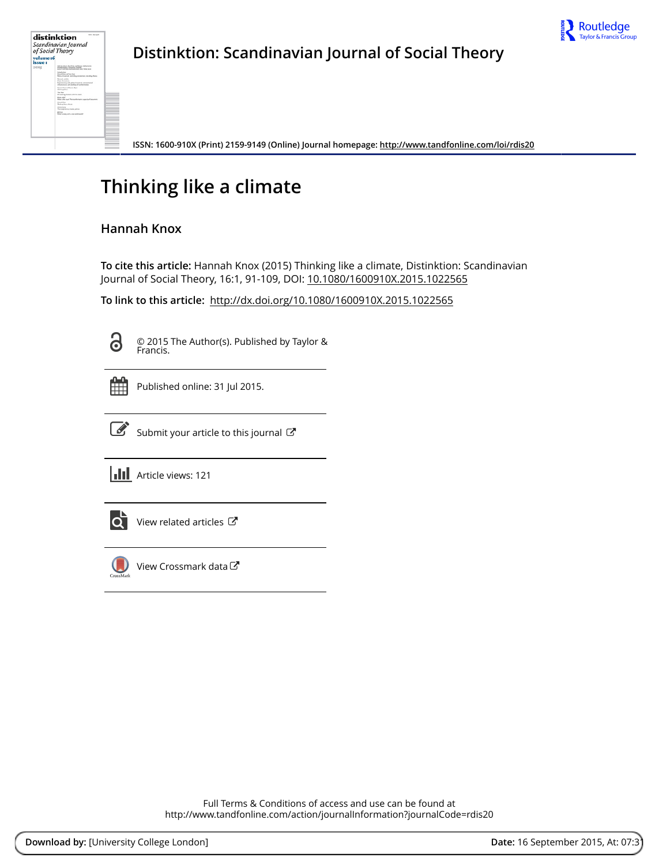

| volume <sub>16</sub><br>issue <b>I</b><br>2015 | VALUE AND REVISION NATIONAL REPORTS<br><b>Parkments</b> , Alwayse, Takishi<br>stated exercises summany sinces and home sected<br><b>School actions</b><br>Homek Ram and Three Hours<br>Ashrud materials serioding environment, serialing theory.<br><b>Branch ettebr</b><br>Copy Brandman<br>Representing and autosurf materials analyzement<br>educations and sendings of mandemarkers.<br>Course Hear and Bernie Bush<br>Andrew and more<br><b>Fox that</b><br>On parting wheters with the cross<br><b>Brider Autor</b><br>What is the travel. The transferrogent company of their<br><b>HonorA</b> Man<br>Posturachier a shower<br><b>Ankas Burg</b><br>Remoderation, maters politics<br><b>Africa</b><br>What's some with a new sould seek? |  |
|------------------------------------------------|-------------------------------------------------------------------------------------------------------------------------------------------------------------------------------------------------------------------------------------------------------------------------------------------------------------------------------------------------------------------------------------------------------------------------------------------------------------------------------------------------------------------------------------------------------------------------------------------------------------------------------------------------------------------------------------------------------------------------------------------------|--|
|------------------------------------------------|-------------------------------------------------------------------------------------------------------------------------------------------------------------------------------------------------------------------------------------------------------------------------------------------------------------------------------------------------------------------------------------------------------------------------------------------------------------------------------------------------------------------------------------------------------------------------------------------------------------------------------------------------------------------------------------------------------------------------------------------------|--|

**Distinktion: Scandinavian Journal of Social Theory**

**ISSN: 1600-910X (Print) 2159-9149 (Online) Journal homepage: <http://www.tandfonline.com/loi/rdis20>**

# **Thinking like a climate**

# **Hannah Knox**

**To cite this article:** Hannah Knox (2015) Thinking like a climate, Distinktion: Scandinavian Journal of Social Theory, 16:1, 91-109, DOI: [10.1080/1600910X.2015.1022565](http://www.tandfonline.com/action/showCitFormats?doi=10.1080/1600910X.2015.1022565)

**To link to this article:** <http://dx.doi.org/10.1080/1600910X.2015.1022565>



© 2015 The Author(s). Published by Taylor & Francis.



Published online: 31 Jul 2015.



 $\overrightarrow{S}$  [Submit your article to this journal](http://www.tandfonline.com/action/authorSubmission?journalCode=rdis20&page=instructions)  $\overrightarrow{S}$ 

**III** Article views: 121



[View related articles](http://www.tandfonline.com/doi/mlt/10.1080/1600910X.2015.1022565)  $\mathbb{Z}$ 



 $\bigcirc$  [View Crossmark data](http://crossmark.crossref.org/dialog/?doi=10.1080/1600910X.2015.1022565&domain=pdf&date_stamp=2015-07-31) $\mathbb{Z}$ 

Full Terms & Conditions of access and use can be found at <http://www.tandfonline.com/action/journalInformation?journalCode=rdis20>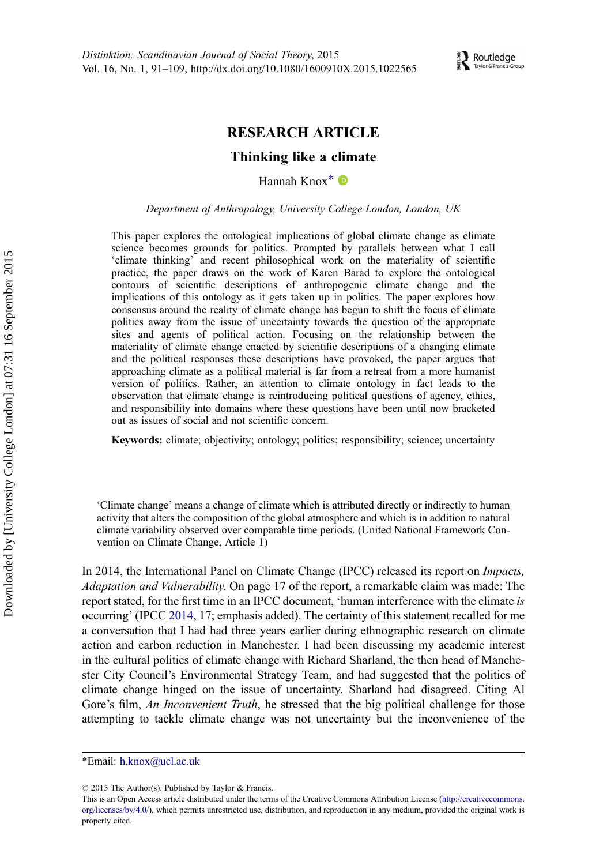# RESEARCH ARTICLE

## Thinking like a climate

Hannah Knox<sup>\*</sup>

Department of Anthropology, University College London, London, UK

This paper explores the ontological implications of global climate change as climate science becomes grounds for politics. Prompted by parallels between what I call 'climate thinking' and recent philosophical work on the materiality of scientific practice, the paper draws on the work of Karen Barad to explore the ontological contours of scientific descriptions of anthropogenic climate change and the implications of this ontology as it gets taken up in politics. The paper explores how consensus around the reality of climate change has begun to shift the focus of climate politics away from the issue of uncertainty towards the question of the appropriate sites and agents of political action. Focusing on the relationship between the materiality of climate change enacted by scientific descriptions of a changing climate and the political responses these descriptions have provoked, the paper argues that approaching climate as a political material is far from a retreat from a more humanist version of politics. Rather, an attention to climate ontology in fact leads to the observation that climate change is reintroducing political questions of agency, ethics, and responsibility into domains where these questions have been until now bracketed out as issues of social and not scientific concern.

Keywords: climate; objectivity; ontology; politics; responsibility; science; uncertainty

'Climate change' means a change of climate which is attributed directly or indirectly to human activity that alters the composition of the global atmosphere and which is in addition to natural climate variability observed over comparable time periods. (United National Framework Convention on Climate Change, Article 1)

In 2014, the International Panel on Climate Change (IPCC) released its report on Impacts, Adaptation and Vulnerability. On page 17 of the report, a remarkable claim was made: The report stated, for the first time in an IPCC document, 'human interference with the climate is occurring' (IPCC [2014](#page-18-0), 17; emphasis added). The certainty of this statement recalled for me a conversation that I had had three years earlier during ethnographic research on climate action and carbon reduction in Manchester. I had been discussing my academic interest in the cultural politics of climate change with Richard Sharland, the then head of Manchester City Council's Environmental Strategy Team, and had suggested that the politics of climate change hinged on the issue of uncertainty. Sharland had disagreed. Citing Al Gore's film, An Inconvenient Truth, he stressed that the big political challenge for those attempting to tackle climate change was not uncertainty but the inconvenience of the

<sup>\*</sup>Email: [h.knox@ucl.ac.uk](mailto:h.knox@ucl.ac.uk)

<sup>© 2015</sup> The Author(s). Published by Taylor & Francis.

This is an Open Access article distributed under the terms of the Creative Commons Attribution License [\(http://creativecommons.](http://creativecommons.org/licenses/by/4.0/) [org/licenses/by/4.0/](http://creativecommons.org/licenses/by/4.0/)), which permits unrestricted use, distribution, and reproduction in any medium, provided the original work is properly cited.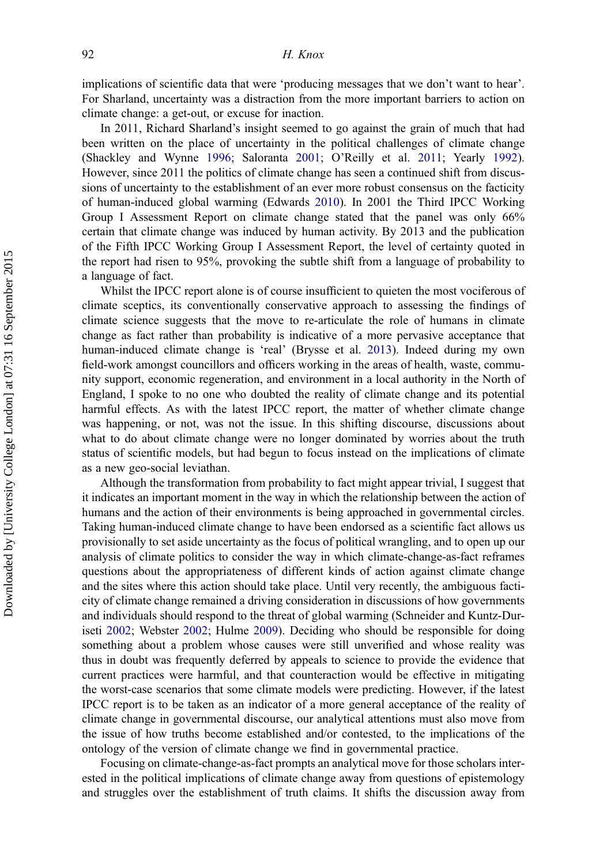implications of scientific data that were 'producing messages that we don't want to hear'. For Sharland, uncertainty was a distraction from the more important barriers to action on climate change: a get-out, or excuse for inaction.

In 2011, Richard Sharland's insight seemed to go against the grain of much that had been written on the place of uncertainty in the political challenges of climate change (Shackley and Wynne [1996;](#page-19-0) Saloranta [2001;](#page-19-0) O'Reilly et al. [2011;](#page-19-0) Yearly [1992\)](#page-19-0). However, since 2011 the politics of climate change has seen a continued shift from discussions of uncertainty to the establishment of an ever more robust consensus on the facticity of human-induced global warming (Edwards [2010](#page-18-0)). In 2001 the Third IPCC Working Group I Assessment Report on climate change stated that the panel was only 66% certain that climate change was induced by human activity. By 2013 and the publication of the Fifth IPCC Working Group I Assessment Report, the level of certainty quoted in the report had risen to 95%, provoking the subtle shift from a language of probability to a language of fact.

Whilst the IPCC report alone is of course insufficient to quieten the most vociferous of climate sceptics, its conventionally conservative approach to assessing the findings of climate science suggests that the move to re-articulate the role of humans in climate change as fact rather than probability is indicative of a more pervasive acceptance that human-induced climate change is 'real' (Brysse et al. [2013\)](#page-18-0). Indeed during my own field-work amongst councillors and officers working in the areas of health, waste, community support, economic regeneration, and environment in a local authority in the North of England, I spoke to no one who doubted the reality of climate change and its potential harmful effects. As with the latest IPCC report, the matter of whether climate change was happening, or not, was not the issue. In this shifting discourse, discussions about what to do about climate change were no longer dominated by worries about the truth status of scientific models, but had begun to focus instead on the implications of climate as a new geo-social leviathan.

Although the transformation from probability to fact might appear trivial, I suggest that it indicates an important moment in the way in which the relationship between the action of humans and the action of their environments is being approached in governmental circles. Taking human-induced climate change to have been endorsed as a scientific fact allows us provisionally to set aside uncertainty as the focus of political wrangling, and to open up our analysis of climate politics to consider the way in which climate-change-as-fact reframes questions about the appropriateness of different kinds of action against climate change and the sites where this action should take place. Until very recently, the ambiguous facticity of climate change remained a driving consideration in discussions of how governments and individuals should respond to the threat of global warming (Schneider and Kuntz-Duriseti [2002;](#page-19-0) Webster [2002;](#page-19-0) Hulme [2009](#page-18-0)). Deciding who should be responsible for doing something about a problem whose causes were still unverified and whose reality was thus in doubt was frequently deferred by appeals to science to provide the evidence that current practices were harmful, and that counteraction would be effective in mitigating the worst-case scenarios that some climate models were predicting. However, if the latest IPCC report is to be taken as an indicator of a more general acceptance of the reality of climate change in governmental discourse, our analytical attentions must also move from the issue of how truths become established and/or contested, to the implications of the ontology of the version of climate change we find in governmental practice.

Focusing on climate-change-as-fact prompts an analytical move for those scholars interested in the political implications of climate change away from questions of epistemology and struggles over the establishment of truth claims. It shifts the discussion away from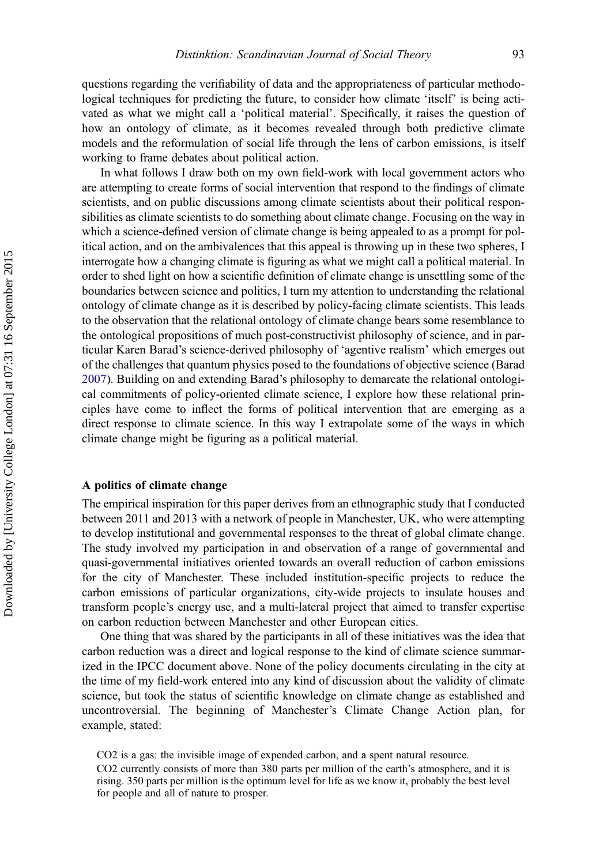questions regarding the verifiability of data and the appropriateness of particular methodological techniques for predicting the future, to consider how climate 'itself' is being activated as what we might call a 'political material'. Specifically, it raises the question of how an ontology of climate, as it becomes revealed through both predictive climate models and the reformulation of social life through the lens of carbon emissions, is itself working to frame debates about political action.

In what follows I draw both on my own field-work with local government actors who are attempting to create forms of social intervention that respond to the findings of climate scientists, and on public discussions among climate scientists about their political responsibilities as climate scientists to do something about climate change. Focusing on the way in which a science-defined version of climate change is being appealed to as a prompt for political action, and on the ambivalences that this appeal is throwing up in these two spheres, I interrogate how a changing climate is figuring as what we might call a political material. In order to shed light on how a scientific definition of climate change is unsettling some of the boundaries between science and politics, I turn my attention to understanding the relational ontology of climate change as it is described by policy-facing climate scientists. This leads to the observation that the relational ontology of climate change bears some resemblance to the ontological propositions of much post-constructivist philosophy of science, and in particular Karen Barad's science-derived philosophy of 'agentive realism' which emerges out of the challenges that quantum physics posed to the foundations of objective science (Barad [2007\)](#page-18-0). Building on and extending Barad's philosophy to demarcate the relational ontological commitments of policy-oriented climate science, I explore how these relational principles have come to inflect the forms of political intervention that are emerging as a direct response to climate science. In this way I extrapolate some of the ways in which climate change might be figuring as a political material.

#### A politics of climate change

The empirical inspiration for this paper derives from an ethnographic study that I conducted between 2011 and 2013 with a network of people in Manchester, UK, who were attempting to develop institutional and governmental responses to the threat of global climate change. The study involved my participation in and observation of a range of governmental and quasi-governmental initiatives oriented towards an overall reduction of carbon emissions for the city of Manchester. These included institution-specific projects to reduce the carbon emissions of particular organizations, city-wide projects to insulate houses and transform people's energy use, and a multi-lateral project that aimed to transfer expertise on carbon reduction between Manchester and other European cities.

One thing that was shared by the participants in all of these initiatives was the idea that carbon reduction was a direct and logical response to the kind of climate science summarized in the IPCC document above. None of the policy documents circulating in the city at the time of my field-work entered into any kind of discussion about the validity of climate science, but took the status of scientific knowledge on climate change as established and uncontroversial. The beginning of Manchester's Climate Change Action plan, for example, stated:

CO2 is a gas: the invisible image of expended carbon, and a spent natural resource.

CO2 currently consists of more than 380 parts per million of the earth's atmosphere, and it is rising. 350 parts per million is the optimum level for life as we know it, probably the best level for people and all of nature to prosper.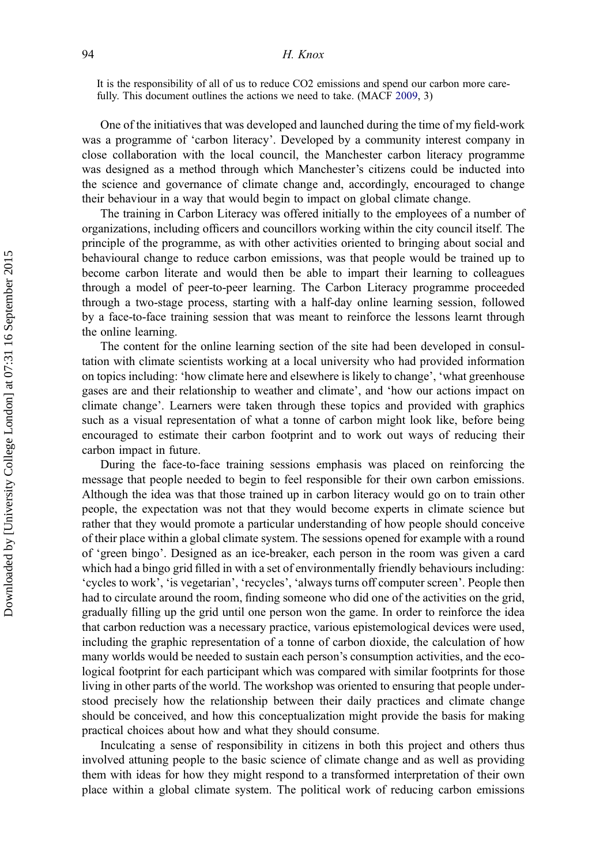It is the responsibility of all of us to reduce CO2 emissions and spend our carbon more carefully. This document outlines the actions we need to take. (MACF [2009,](#page-19-0) 3)

One of the initiatives that was developed and launched during the time of my field-work was a programme of 'carbon literacy'. Developed by a community interest company in close collaboration with the local council, the Manchester carbon literacy programme was designed as a method through which Manchester's citizens could be inducted into the science and governance of climate change and, accordingly, encouraged to change their behaviour in a way that would begin to impact on global climate change.

The training in Carbon Literacy was offered initially to the employees of a number of organizations, including officers and councillors working within the city council itself. The principle of the programme, as with other activities oriented to bringing about social and behavioural change to reduce carbon emissions, was that people would be trained up to become carbon literate and would then be able to impart their learning to colleagues through a model of peer-to-peer learning. The Carbon Literacy programme proceeded through a two-stage process, starting with a half-day online learning session, followed by a face-to-face training session that was meant to reinforce the lessons learnt through the online learning.

The content for the online learning section of the site had been developed in consultation with climate scientists working at a local university who had provided information on topics including: 'how climate here and elsewhere is likely to change', 'what greenhouse gases are and their relationship to weather and climate', and 'how our actions impact on climate change'. Learners were taken through these topics and provided with graphics such as a visual representation of what a tonne of carbon might look like, before being encouraged to estimate their carbon footprint and to work out ways of reducing their carbon impact in future.

During the face-to-face training sessions emphasis was placed on reinforcing the message that people needed to begin to feel responsible for their own carbon emissions. Although the idea was that those trained up in carbon literacy would go on to train other people, the expectation was not that they would become experts in climate science but rather that they would promote a particular understanding of how people should conceive of their place within a global climate system. The sessions opened for example with a round of 'green bingo'. Designed as an ice-breaker, each person in the room was given a card which had a bingo grid filled in with a set of environmentally friendly behaviours including: 'cycles to work', 'is vegetarian', 'recycles', 'always turns off computer screen'. People then had to circulate around the room, finding someone who did one of the activities on the grid, gradually filling up the grid until one person won the game. In order to reinforce the idea that carbon reduction was a necessary practice, various epistemological devices were used, including the graphic representation of a tonne of carbon dioxide, the calculation of how many worlds would be needed to sustain each person's consumption activities, and the ecological footprint for each participant which was compared with similar footprints for those living in other parts of the world. The workshop was oriented to ensuring that people understood precisely how the relationship between their daily practices and climate change should be conceived, and how this conceptualization might provide the basis for making practical choices about how and what they should consume.

Inculcating a sense of responsibility in citizens in both this project and others thus involved attuning people to the basic science of climate change and as well as providing them with ideas for how they might respond to a transformed interpretation of their own place within a global climate system. The political work of reducing carbon emissions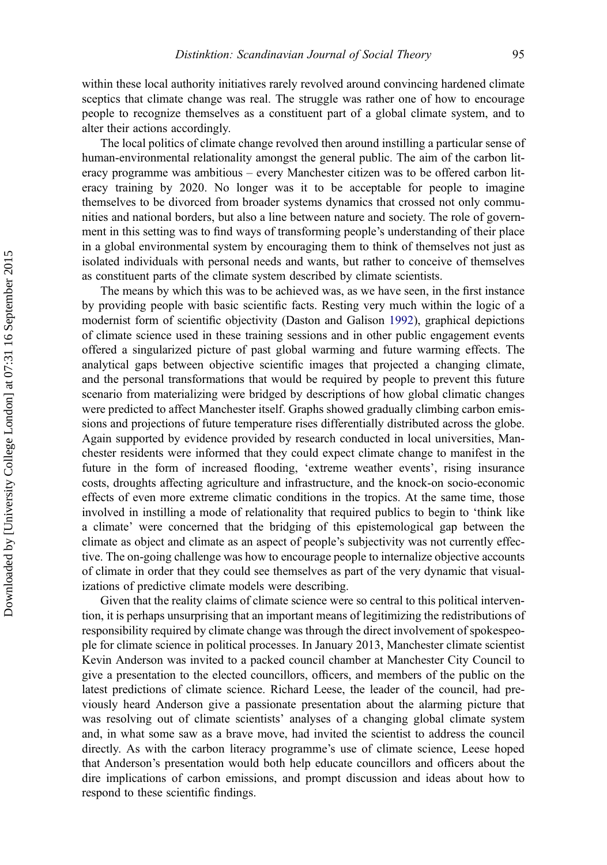within these local authority initiatives rarely revolved around convincing hardened climate sceptics that climate change was real. The struggle was rather one of how to encourage people to recognize themselves as a constituent part of a global climate system, and to alter their actions accordingly.

The local politics of climate change revolved then around instilling a particular sense of human-environmental relationality amongst the general public. The aim of the carbon literacy programme was ambitious – every Manchester citizen was to be offered carbon literacy training by 2020. No longer was it to be acceptable for people to imagine themselves to be divorced from broader systems dynamics that crossed not only communities and national borders, but also a line between nature and society. The role of government in this setting was to find ways of transforming people's understanding of their place in a global environmental system by encouraging them to think of themselves not just as isolated individuals with personal needs and wants, but rather to conceive of themselves as constituent parts of the climate system described by climate scientists.

The means by which this was to be achieved was, as we have seen, in the first instance by providing people with basic scientific facts. Resting very much within the logic of a modernist form of scientific objectivity (Daston and Galison [1992](#page-18-0)), graphical depictions of climate science used in these training sessions and in other public engagement events offered a singularized picture of past global warming and future warming effects. The analytical gaps between objective scientific images that projected a changing climate, and the personal transformations that would be required by people to prevent this future scenario from materializing were bridged by descriptions of how global climatic changes were predicted to affect Manchester itself. Graphs showed gradually climbing carbon emissions and projections of future temperature rises differentially distributed across the globe. Again supported by evidence provided by research conducted in local universities, Manchester residents were informed that they could expect climate change to manifest in the future in the form of increased flooding, 'extreme weather events', rising insurance costs, droughts affecting agriculture and infrastructure, and the knock-on socio-economic effects of even more extreme climatic conditions in the tropics. At the same time, those involved in instilling a mode of relationality that required publics to begin to 'think like a climate' were concerned that the bridging of this epistemological gap between the climate as object and climate as an aspect of people's subjectivity was not currently effective. The on-going challenge was how to encourage people to internalize objective accounts of climate in order that they could see themselves as part of the very dynamic that visualizations of predictive climate models were describing.

Given that the reality claims of climate science were so central to this political intervention, it is perhaps unsurprising that an important means of legitimizing the redistributions of responsibility required by climate change was through the direct involvement of spokespeople for climate science in political processes. In January 2013, Manchester climate scientist Kevin Anderson was invited to a packed council chamber at Manchester City Council to give a presentation to the elected councillors, officers, and members of the public on the latest predictions of climate science. Richard Leese, the leader of the council, had previously heard Anderson give a passionate presentation about the alarming picture that was resolving out of climate scientists' analyses of a changing global climate system and, in what some saw as a brave move, had invited the scientist to address the council directly. As with the carbon literacy programme's use of climate science, Leese hoped that Anderson's presentation would both help educate councillors and officers about the dire implications of carbon emissions, and prompt discussion and ideas about how to respond to these scientific findings.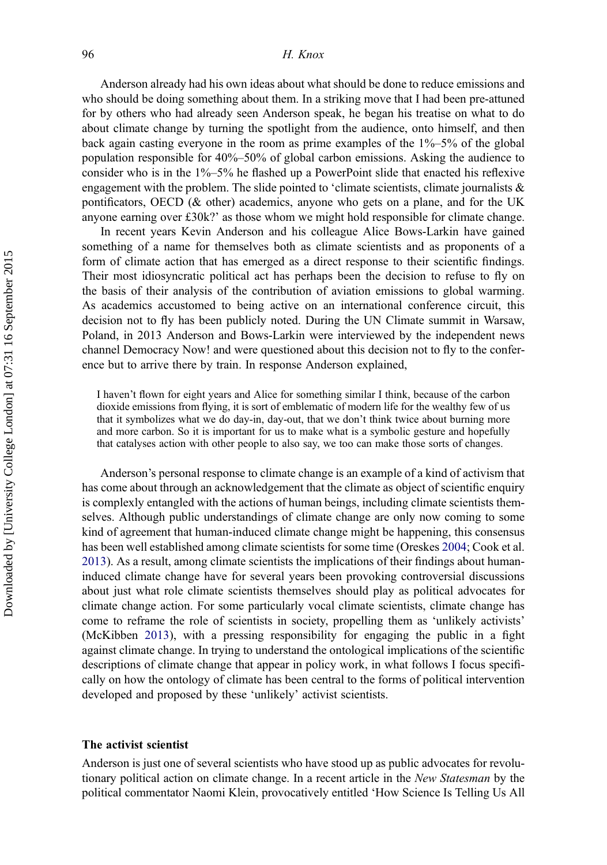#### 96 H. Knox

Anderson already had his own ideas about what should be done to reduce emissions and who should be doing something about them. In a striking move that I had been pre-attuned for by others who had already seen Anderson speak, he began his treatise on what to do about climate change by turning the spotlight from the audience, onto himself, and then back again casting everyone in the room as prime examples of the 1%–5% of the global population responsible for 40%–50% of global carbon emissions. Asking the audience to consider who is in the 1%–5% he flashed up a PowerPoint slide that enacted his reflexive engagement with the problem. The slide pointed to 'climate scientists, climate journalists & pontificators, OECD ( $\&$  other) academics, anyone who gets on a plane, and for the UK anyone earning over £30k?' as those whom we might hold responsible for climate change.

In recent years Kevin Anderson and his colleague Alice Bows-Larkin have gained something of a name for themselves both as climate scientists and as proponents of a form of climate action that has emerged as a direct response to their scientific findings. Their most idiosyncratic political act has perhaps been the decision to refuse to fly on the basis of their analysis of the contribution of aviation emissions to global warming. As academics accustomed to being active on an international conference circuit, this decision not to fly has been publicly noted. During the UN Climate summit in Warsaw, Poland, in 2013 Anderson and Bows-Larkin were interviewed by the independent news channel Democracy Now! and were questioned about this decision not to fly to the conference but to arrive there by train. In response Anderson explained,

I haven't flown for eight years and Alice for something similar I think, because of the carbon dioxide emissions from flying, it is sort of emblematic of modern life for the wealthy few of us that it symbolizes what we do day-in, day-out, that we don't think twice about burning more and more carbon. So it is important for us to make what is a symbolic gesture and hopefully that catalyses action with other people to also say, we too can make those sorts of changes.

Anderson's personal response to climate change is an example of a kind of activism that has come about through an acknowledgement that the climate as object of scientific enquiry is complexly entangled with the actions of human beings, including climate scientists themselves. Although public understandings of climate change are only now coming to some kind of agreement that human-induced climate change might be happening, this consensus has been well established among climate scientists for some time (Oreskes [2004](#page-19-0); Cook et al. [2013\)](#page-18-0). As a result, among climate scientists the implications of their findings about humaninduced climate change have for several years been provoking controversial discussions about just what role climate scientists themselves should play as political advocates for climate change action. For some particularly vocal climate scientists, climate change has come to reframe the role of scientists in society, propelling them as 'unlikely activists' (McKibben [2013\)](#page-19-0), with a pressing responsibility for engaging the public in a fight against climate change. In trying to understand the ontological implications of the scientific descriptions of climate change that appear in policy work, in what follows I focus specifically on how the ontology of climate has been central to the forms of political intervention developed and proposed by these 'unlikely' activist scientists.

#### The activist scientist

Anderson is just one of several scientists who have stood up as public advocates for revolutionary political action on climate change. In a recent article in the New Statesman by the political commentator Naomi Klein, provocatively entitled 'How Science Is Telling Us All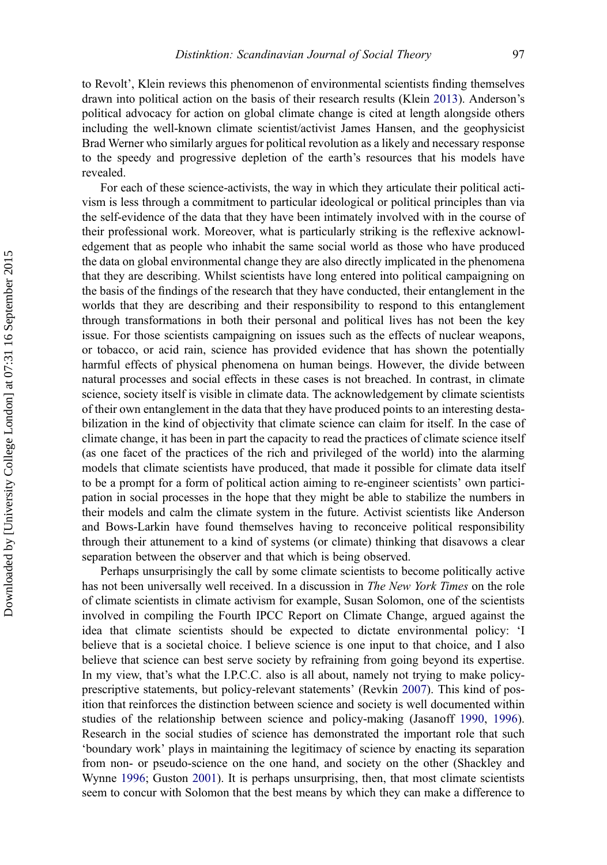to Revolt', Klein reviews this phenomenon of environmental scientists finding themselves drawn into political action on the basis of their research results (Klein [2013\)](#page-19-0). Anderson's political advocacy for action on global climate change is cited at length alongside others including the well-known climate scientist/activist James Hansen, and the geophysicist Brad Werner who similarly argues for political revolution as a likely and necessary response to the speedy and progressive depletion of the earth's resources that his models have revealed.

For each of these science-activists, the way in which they articulate their political activism is less through a commitment to particular ideological or political principles than via the self-evidence of the data that they have been intimately involved with in the course of their professional work. Moreover, what is particularly striking is the reflexive acknowledgement that as people who inhabit the same social world as those who have produced the data on global environmental change they are also directly implicated in the phenomena that they are describing. Whilst scientists have long entered into political campaigning on the basis of the findings of the research that they have conducted, their entanglement in the worlds that they are describing and their responsibility to respond to this entanglement through transformations in both their personal and political lives has not been the key issue. For those scientists campaigning on issues such as the effects of nuclear weapons, or tobacco, or acid rain, science has provided evidence that has shown the potentially harmful effects of physical phenomena on human beings. However, the divide between natural processes and social effects in these cases is not breached. In contrast, in climate science, society itself is visible in climate data. The acknowledgement by climate scientists of their own entanglement in the data that they have produced points to an interesting destabilization in the kind of objectivity that climate science can claim for itself. In the case of climate change, it has been in part the capacity to read the practices of climate science itself (as one facet of the practices of the rich and privileged of the world) into the alarming models that climate scientists have produced, that made it possible for climate data itself to be a prompt for a form of political action aiming to re-engineer scientists' own participation in social processes in the hope that they might be able to stabilize the numbers in their models and calm the climate system in the future. Activist scientists like Anderson and Bows-Larkin have found themselves having to reconceive political responsibility through their attunement to a kind of systems (or climate) thinking that disavows a clear separation between the observer and that which is being observed.

Perhaps unsurprisingly the call by some climate scientists to become politically active has not been universally well received. In a discussion in *The New York Times* on the role of climate scientists in climate activism for example, Susan Solomon, one of the scientists involved in compiling the Fourth IPCC Report on Climate Change, argued against the idea that climate scientists should be expected to dictate environmental policy: 'I believe that is a societal choice. I believe science is one input to that choice, and I also believe that science can best serve society by refraining from going beyond its expertise. In my view, that's what the I.P.C.C. also is all about, namely not trying to make policyprescriptive statements, but policy-relevant statements' (Revkin [2007\)](#page-19-0). This kind of position that reinforces the distinction between science and society is well documented within studies of the relationship between science and policy-making (Jasanoff [1990,](#page-19-0) [1996\)](#page-19-0). Research in the social studies of science has demonstrated the important role that such 'boundary work' plays in maintaining the legitimacy of science by enacting its separation from non- or pseudo-science on the one hand, and society on the other (Shackley and Wynne [1996](#page-19-0); Guston [2001](#page-18-0)). It is perhaps unsurprising, then, that most climate scientists seem to concur with Solomon that the best means by which they can make a difference to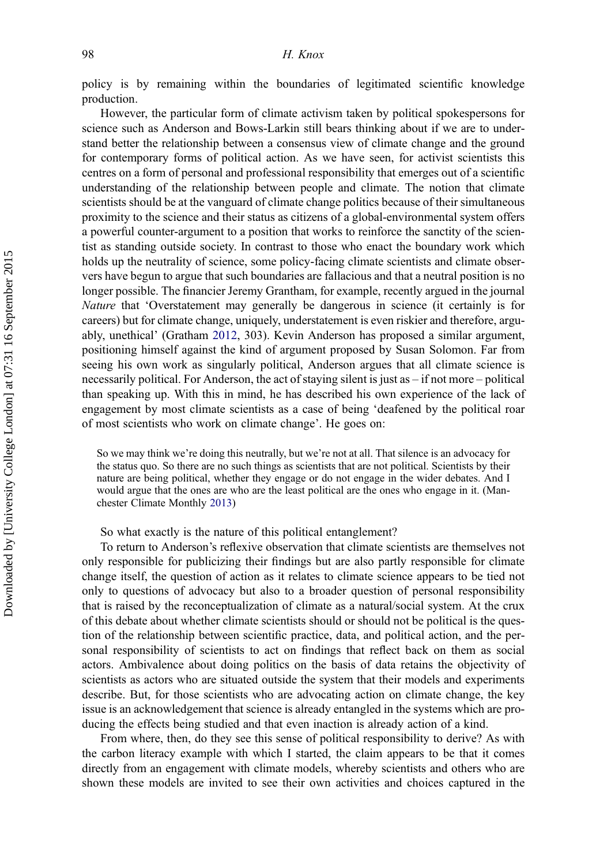policy is by remaining within the boundaries of legitimated scientific knowledge production.

However, the particular form of climate activism taken by political spokespersons for science such as Anderson and Bows-Larkin still bears thinking about if we are to understand better the relationship between a consensus view of climate change and the ground for contemporary forms of political action. As we have seen, for activist scientists this centres on a form of personal and professional responsibility that emerges out of a scientific understanding of the relationship between people and climate. The notion that climate scientists should be at the vanguard of climate change politics because of their simultaneous proximity to the science and their status as citizens of a global-environmental system offers a powerful counter-argument to a position that works to reinforce the sanctity of the scientist as standing outside society. In contrast to those who enact the boundary work which holds up the neutrality of science, some policy-facing climate scientists and climate observers have begun to argue that such boundaries are fallacious and that a neutral position is no longer possible. The financier Jeremy Grantham, for example, recently argued in the journal Nature that 'Overstatement may generally be dangerous in science (it certainly is for careers) but for climate change, uniquely, understatement is even riskier and therefore, arguably, unethical' (Gratham [2012,](#page-18-0) 303). Kevin Anderson has proposed a similar argument, positioning himself against the kind of argument proposed by Susan Solomon. Far from seeing his own work as singularly political, Anderson argues that all climate science is necessarily political. For Anderson, the act of staying silent is just as – if not more – political than speaking up. With this in mind, he has described his own experience of the lack of engagement by most climate scientists as a case of being 'deafened by the political roar of most scientists who work on climate change'. He goes on:

So we may think we're doing this neutrally, but we're not at all. That silence is an advocacy for the status quo. So there are no such things as scientists that are not political. Scientists by their nature are being political, whether they engage or do not engage in the wider debates. And I would argue that the ones are who are the least political are the ones who engage in it. (Manchester Climate Monthly [2013\)](#page-19-0)

So what exactly is the nature of this political entanglement?

To return to Anderson's reflexive observation that climate scientists are themselves not only responsible for publicizing their findings but are also partly responsible for climate change itself, the question of action as it relates to climate science appears to be tied not only to questions of advocacy but also to a broader question of personal responsibility that is raised by the reconceptualization of climate as a natural/social system. At the crux of this debate about whether climate scientists should or should not be political is the question of the relationship between scientific practice, data, and political action, and the personal responsibility of scientists to act on findings that reflect back on them as social actors. Ambivalence about doing politics on the basis of data retains the objectivity of scientists as actors who are situated outside the system that their models and experiments describe. But, for those scientists who are advocating action on climate change, the key issue is an acknowledgement that science is already entangled in the systems which are producing the effects being studied and that even inaction is already action of a kind.

From where, then, do they see this sense of political responsibility to derive? As with the carbon literacy example with which I started, the claim appears to be that it comes directly from an engagement with climate models, whereby scientists and others who are shown these models are invited to see their own activities and choices captured in the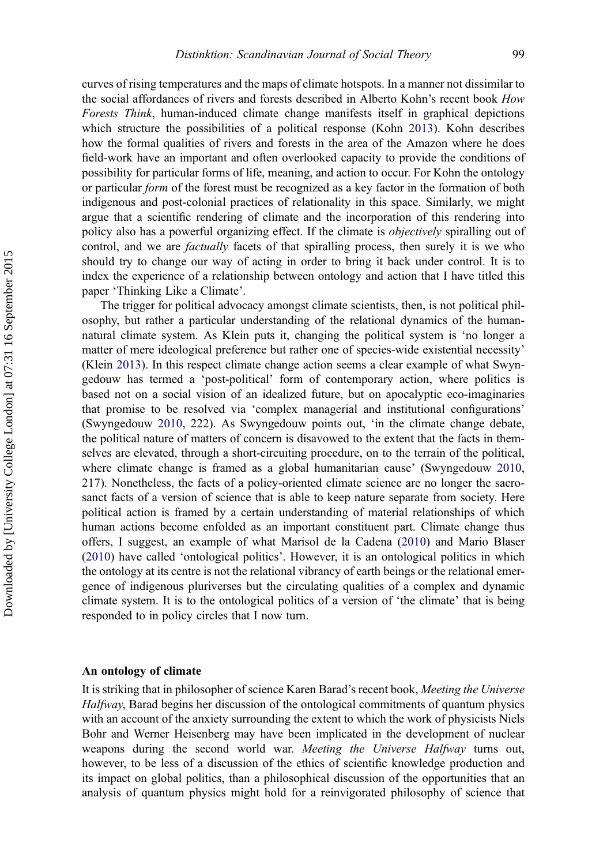curves of rising temperatures and the maps of climate hotspots. In a manner not dissimilar to the social affordances of rivers and forests described in Alberto Kohn's recent book How Forests Think, human-induced climate change manifests itself in graphical depictions which structure the possibilities of a political response (Kohn [2013](#page-19-0)). Kohn describes how the formal qualities of rivers and forests in the area of the Amazon where he does field-work have an important and often overlooked capacity to provide the conditions of possibility for particular forms of life, meaning, and action to occur. For Kohn the ontology or particular form of the forest must be recognized as a key factor in the formation of both indigenous and post-colonial practices of relationality in this space. Similarly, we might argue that a scientific rendering of climate and the incorporation of this rendering into policy also has a powerful organizing effect. If the climate is objectively spiralling out of control, and we are *factually* facets of that spiralling process, then surely it is we who should try to change our way of acting in order to bring it back under control. It is to index the experience of a relationship between ontology and action that I have titled this paper 'Thinking Like a Climate'.

The trigger for political advocacy amongst climate scientists, then, is not political philosophy, but rather a particular understanding of the relational dynamics of the humannatural climate system. As Klein puts it, changing the political system is 'no longer a matter of mere ideological preference but rather one of species-wide existential necessity' (Klein [2013\)](#page-19-0). In this respect climate change action seems a clear example of what Swyngedouw has termed a 'post-political' form of contemporary action, where politics is based not on a social vision of an idealized future, but on apocalyptic eco-imaginaries that promise to be resolved via 'complex managerial and institutional configurations' (Swyngedouw [2010](#page-19-0), 222). As Swyngedouw points out, 'in the climate change debate, the political nature of matters of concern is disavowed to the extent that the facts in themselves are elevated, through a short-circuiting procedure, on to the terrain of the political, where climate change is framed as a global humanitarian cause' (Swyngedouw [2010](#page-19-0), 217). Nonetheless, the facts of a policy-oriented climate science are no longer the sacrosanct facts of a version of science that is able to keep nature separate from society. Here political action is framed by a certain understanding of material relationships of which human actions become enfolded as an important constituent part. Climate change thus offers, I suggest, an example of what Marisol de la Cadena [\(2010](#page-18-0)) and Mario Blaser ([2010\)](#page-18-0) have called 'ontological politics'. However, it is an ontological politics in which the ontology at its centre is not the relational vibrancy of earth beings or the relational emergence of indigenous pluriverses but the circulating qualities of a complex and dynamic climate system. It is to the ontological politics of a version of 'the climate' that is being responded to in policy circles that I now turn.

#### An ontology of climate

It is striking that in philosopher of science Karen Barad's recent book, Meeting the Universe Halfway, Barad begins her discussion of the ontological commitments of quantum physics with an account of the anxiety surrounding the extent to which the work of physicists Niels Bohr and Werner Heisenberg may have been implicated in the development of nuclear weapons during the second world war. Meeting the Universe Halfway turns out, however, to be less of a discussion of the ethics of scientific knowledge production and its impact on global politics, than a philosophical discussion of the opportunities that an analysis of quantum physics might hold for a reinvigorated philosophy of science that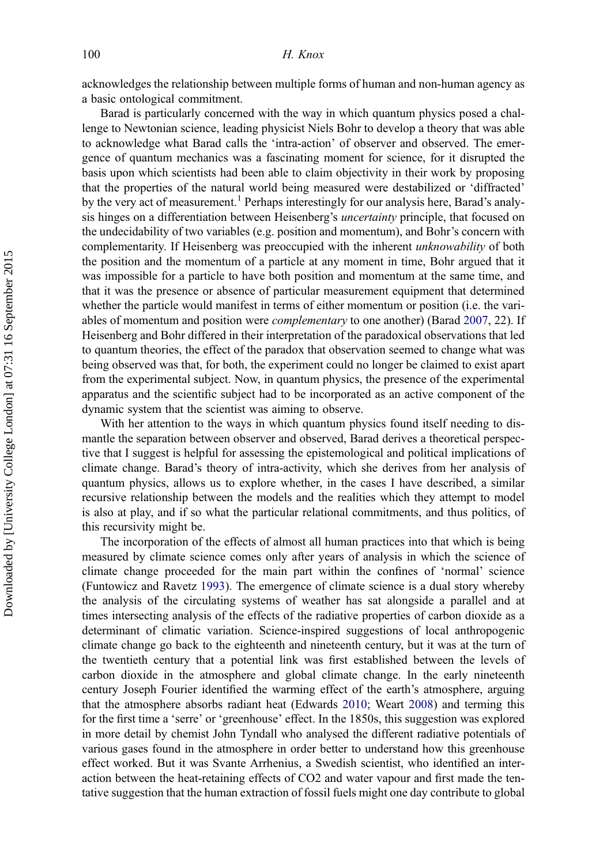acknowledges the relationship between multiple forms of human and non-human agency as a basic ontological commitment.

Barad is particularly concerned with the way in which quantum physics posed a challenge to Newtonian science, leading physicist Niels Bohr to develop a theory that was able to acknowledge what Barad calls the 'intra-action' of observer and observed. The emergence of quantum mechanics was a fascinating moment for science, for it disrupted the basis upon which scientists had been able to claim objectivity in their work by proposing that the properties of the natural world being measured were destabilized or 'diffracted' by the very act of measurement.<sup>[1](#page-17-0)</sup> Perhaps interestingly for our analysis here, Barad's analysis hinges on a differentiation between Heisenberg's uncertainty principle, that focused on the undecidability of two variables (e.g. position and momentum), and Bohr's concern with complementarity. If Heisenberg was preoccupied with the inherent *unknowability* of both the position and the momentum of a particle at any moment in time, Bohr argued that it was impossible for a particle to have both position and momentum at the same time, and that it was the presence or absence of particular measurement equipment that determined whether the particle would manifest in terms of either momentum or position (i.e. the variables of momentum and position were complementary to one another) (Barad [2007,](#page-18-0) 22). If Heisenberg and Bohr differed in their interpretation of the paradoxical observations that led to quantum theories, the effect of the paradox that observation seemed to change what was being observed was that, for both, the experiment could no longer be claimed to exist apart from the experimental subject. Now, in quantum physics, the presence of the experimental apparatus and the scientific subject had to be incorporated as an active component of the dynamic system that the scientist was aiming to observe.

With her attention to the ways in which quantum physics found itself needing to dismantle the separation between observer and observed, Barad derives a theoretical perspective that I suggest is helpful for assessing the epistemological and political implications of climate change. Barad's theory of intra-activity, which she derives from her analysis of quantum physics, allows us to explore whether, in the cases I have described, a similar recursive relationship between the models and the realities which they attempt to model is also at play, and if so what the particular relational commitments, and thus politics, of this recursivity might be.

The incorporation of the effects of almost all human practices into that which is being measured by climate science comes only after years of analysis in which the science of climate change proceeded for the main part within the confines of 'normal' science (Funtowicz and Ravetz [1993](#page-18-0)). The emergence of climate science is a dual story whereby the analysis of the circulating systems of weather has sat alongside a parallel and at times intersecting analysis of the effects of the radiative properties of carbon dioxide as a determinant of climatic variation. Science-inspired suggestions of local anthropogenic climate change go back to the eighteenth and nineteenth century, but it was at the turn of the twentieth century that a potential link was first established between the levels of carbon dioxide in the atmosphere and global climate change. In the early nineteenth century Joseph Fourier identified the warming effect of the earth's atmosphere, arguing that the atmosphere absorbs radiant heat (Edwards [2010](#page-18-0); Weart [2008](#page-19-0)) and terming this for the first time a 'serre' or 'greenhouse' effect. In the 1850s, this suggestion was explored in more detail by chemist John Tyndall who analysed the different radiative potentials of various gases found in the atmosphere in order better to understand how this greenhouse effect worked. But it was Svante Arrhenius, a Swedish scientist, who identified an interaction between the heat-retaining effects of CO2 and water vapour and first made the tentative suggestion that the human extraction of fossil fuels might one day contribute to global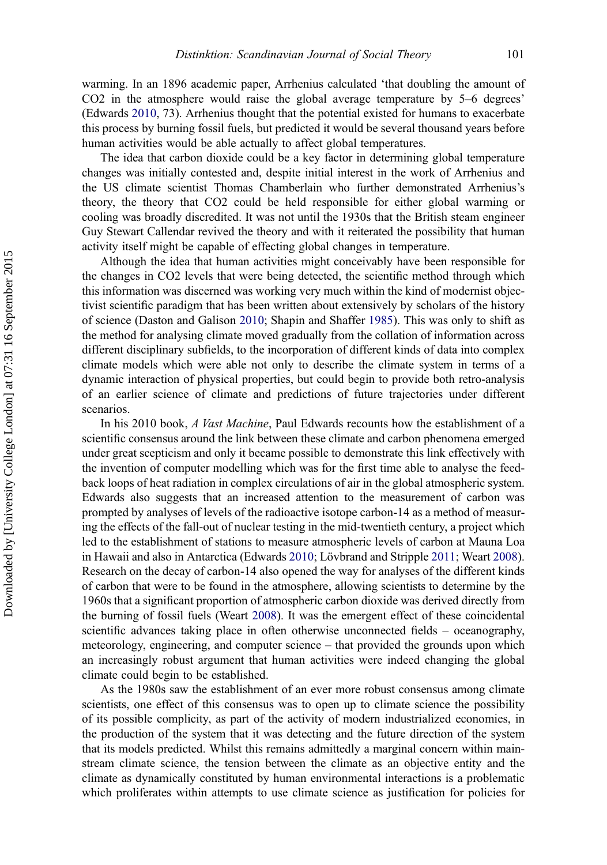warming. In an 1896 academic paper, Arrhenius calculated 'that doubling the amount of CO2 in the atmosphere would raise the global average temperature by 5–6 degrees' (Edwards [2010](#page-18-0), 73). Arrhenius thought that the potential existed for humans to exacerbate this process by burning fossil fuels, but predicted it would be several thousand years before human activities would be able actually to affect global temperatures.

The idea that carbon dioxide could be a key factor in determining global temperature changes was initially contested and, despite initial interest in the work of Arrhenius and the US climate scientist Thomas Chamberlain who further demonstrated Arrhenius's theory, the theory that CO2 could be held responsible for either global warming or cooling was broadly discredited. It was not until the 1930s that the British steam engineer Guy Stewart Callendar revived the theory and with it reiterated the possibility that human activity itself might be capable of effecting global changes in temperature.

Although the idea that human activities might conceivably have been responsible for the changes in CO2 levels that were being detected, the scientific method through which this information was discerned was working very much within the kind of modernist objectivist scientific paradigm that has been written about extensively by scholars of the history of science (Daston and Galison [2010;](#page-18-0) Shapin and Shaffer [1985\)](#page-19-0). This was only to shift as the method for analysing climate moved gradually from the collation of information across different disciplinary subfields, to the incorporation of different kinds of data into complex climate models which were able not only to describe the climate system in terms of a dynamic interaction of physical properties, but could begin to provide both retro-analysis of an earlier science of climate and predictions of future trajectories under different scenarios.

In his 2010 book, A Vast Machine, Paul Edwards recounts how the establishment of a scientific consensus around the link between these climate and carbon phenomena emerged under great scepticism and only it became possible to demonstrate this link effectively with the invention of computer modelling which was for the first time able to analyse the feedback loops of heat radiation in complex circulations of air in the global atmospheric system. Edwards also suggests that an increased attention to the measurement of carbon was prompted by analyses of levels of the radioactive isotope carbon-14 as a method of measuring the effects of the fall-out of nuclear testing in the mid-twentieth century, a project which led to the establishment of stations to measure atmospheric levels of carbon at Mauna Loa in Hawaii and also in Antarctica (Edwards [2010](#page-18-0); Lövbrand and Stripple [2011](#page-19-0); Weart [2008\)](#page-19-0). Research on the decay of carbon-14 also opened the way for analyses of the different kinds of carbon that were to be found in the atmosphere, allowing scientists to determine by the 1960s that a significant proportion of atmospheric carbon dioxide was derived directly from the burning of fossil fuels (Weart [2008\)](#page-19-0). It was the emergent effect of these coincidental scientific advances taking place in often otherwise unconnected fields – oceanography, meteorology, engineering, and computer science – that provided the grounds upon which an increasingly robust argument that human activities were indeed changing the global climate could begin to be established.

As the 1980s saw the establishment of an ever more robust consensus among climate scientists, one effect of this consensus was to open up to climate science the possibility of its possible complicity, as part of the activity of modern industrialized economies, in the production of the system that it was detecting and the future direction of the system that its models predicted. Whilst this remains admittedly a marginal concern within mainstream climate science, the tension between the climate as an objective entity and the climate as dynamically constituted by human environmental interactions is a problematic which proliferates within attempts to use climate science as justification for policies for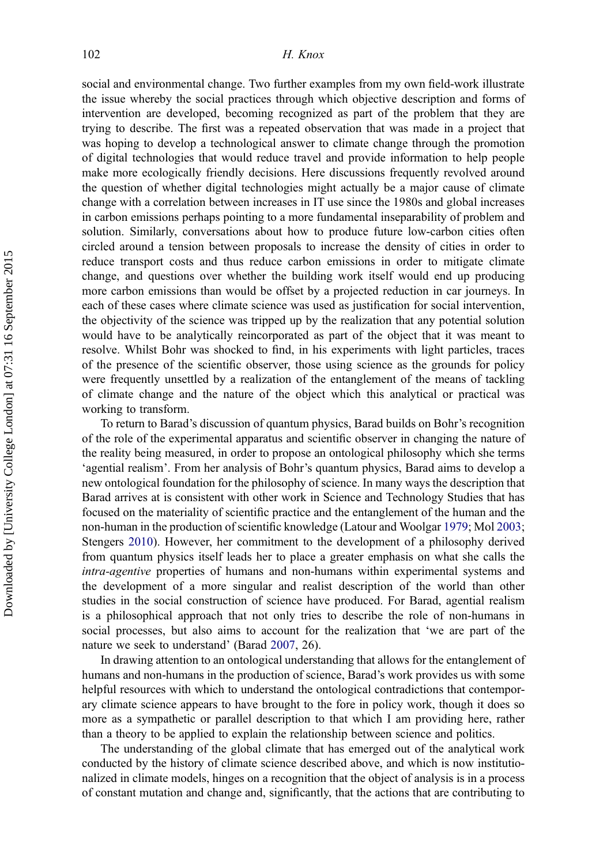social and environmental change. Two further examples from my own field-work illustrate the issue whereby the social practices through which objective description and forms of intervention are developed, becoming recognized as part of the problem that they are trying to describe. The first was a repeated observation that was made in a project that was hoping to develop a technological answer to climate change through the promotion of digital technologies that would reduce travel and provide information to help people make more ecologically friendly decisions. Here discussions frequently revolved around the question of whether digital technologies might actually be a major cause of climate change with a correlation between increases in IT use since the 1980s and global increases in carbon emissions perhaps pointing to a more fundamental inseparability of problem and solution. Similarly, conversations about how to produce future low-carbon cities often circled around a tension between proposals to increase the density of cities in order to reduce transport costs and thus reduce carbon emissions in order to mitigate climate change, and questions over whether the building work itself would end up producing more carbon emissions than would be offset by a projected reduction in car journeys. In each of these cases where climate science was used as justification for social intervention, the objectivity of the science was tripped up by the realization that any potential solution would have to be analytically reincorporated as part of the object that it was meant to resolve. Whilst Bohr was shocked to find, in his experiments with light particles, traces of the presence of the scientific observer, those using science as the grounds for policy were frequently unsettled by a realization of the entanglement of the means of tackling of climate change and the nature of the object which this analytical or practical was working to transform.

To return to Barad's discussion of quantum physics, Barad builds on Bohr's recognition of the role of the experimental apparatus and scientific observer in changing the nature of the reality being measured, in order to propose an ontological philosophy which she terms 'agential realism'. From her analysis of Bohr's quantum physics, Barad aims to develop a new ontological foundation for the philosophy of science. In many ways the description that Barad arrives at is consistent with other work in Science and Technology Studies that has focused on the materiality of scientific practice and the entanglement of the human and the non-human in the production of scientific knowledge (Latour and Woolgar [1979;](#page-19-0) Mol [2003;](#page-19-0) Stengers [2010](#page-19-0)). However, her commitment to the development of a philosophy derived from quantum physics itself leads her to place a greater emphasis on what she calls the intra-agentive properties of humans and non-humans within experimental systems and the development of a more singular and realist description of the world than other studies in the social construction of science have produced. For Barad, agential realism is a philosophical approach that not only tries to describe the role of non-humans in social processes, but also aims to account for the realization that 'we are part of the nature we seek to understand' (Barad [2007](#page-18-0), 26).

In drawing attention to an ontological understanding that allows for the entanglement of humans and non-humans in the production of science, Barad's work provides us with some helpful resources with which to understand the ontological contradictions that contemporary climate science appears to have brought to the fore in policy work, though it does so more as a sympathetic or parallel description to that which I am providing here, rather than a theory to be applied to explain the relationship between science and politics.

The understanding of the global climate that has emerged out of the analytical work conducted by the history of climate science described above, and which is now institutionalized in climate models, hinges on a recognition that the object of analysis is in a process of constant mutation and change and, significantly, that the actions that are contributing to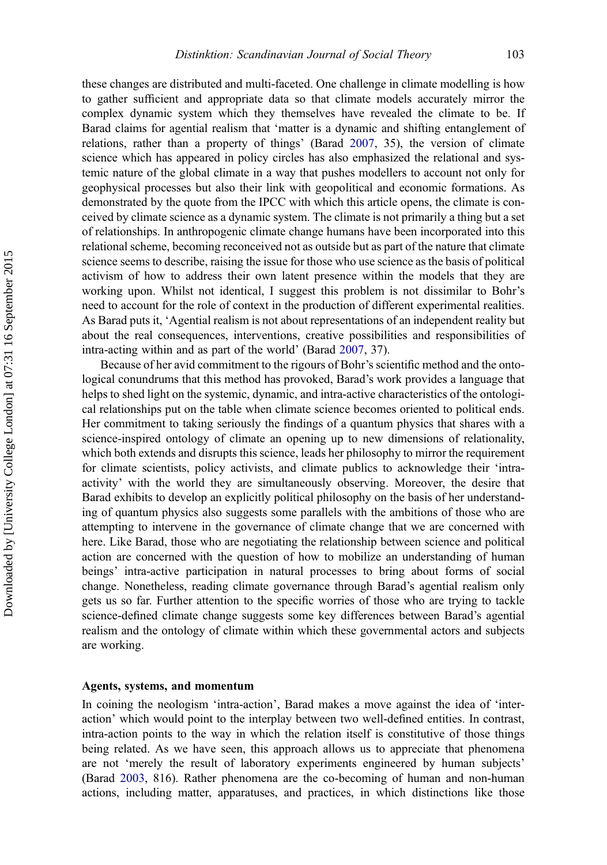these changes are distributed and multi-faceted. One challenge in climate modelling is how to gather sufficient and appropriate data so that climate models accurately mirror the complex dynamic system which they themselves have revealed the climate to be. If Barad claims for agential realism that 'matter is a dynamic and shifting entanglement of relations, rather than a property of things' (Barad [2007](#page-18-0), 35), the version of climate science which has appeared in policy circles has also emphasized the relational and systemic nature of the global climate in a way that pushes modellers to account not only for geophysical processes but also their link with geopolitical and economic formations. As demonstrated by the quote from the IPCC with which this article opens, the climate is conceived by climate science as a dynamic system. The climate is not primarily a thing but a set of relationships. In anthropogenic climate change humans have been incorporated into this relational scheme, becoming reconceived not as outside but as part of the nature that climate science seems to describe, raising the issue for those who use science as the basis of political activism of how to address their own latent presence within the models that they are working upon. Whilst not identical, I suggest this problem is not dissimilar to Bohr's need to account for the role of context in the production of different experimental realities. As Barad puts it, 'Agential realism is not about representations of an independent reality but about the real consequences, interventions, creative possibilities and responsibilities of intra-acting within and as part of the world' (Barad [2007,](#page-18-0) 37).

Because of her avid commitment to the rigours of Bohr's scientific method and the ontological conundrums that this method has provoked, Barad's work provides a language that helps to shed light on the systemic, dynamic, and intra-active characteristics of the ontological relationships put on the table when climate science becomes oriented to political ends. Her commitment to taking seriously the findings of a quantum physics that shares with a science-inspired ontology of climate an opening up to new dimensions of relationality, which both extends and disrupts this science, leads her philosophy to mirror the requirement for climate scientists, policy activists, and climate publics to acknowledge their 'intraactivity' with the world they are simultaneously observing. Moreover, the desire that Barad exhibits to develop an explicitly political philosophy on the basis of her understanding of quantum physics also suggests some parallels with the ambitions of those who are attempting to intervene in the governance of climate change that we are concerned with here. Like Barad, those who are negotiating the relationship between science and political action are concerned with the question of how to mobilize an understanding of human beings' intra-active participation in natural processes to bring about forms of social change. Nonetheless, reading climate governance through Barad's agential realism only gets us so far. Further attention to the specific worries of those who are trying to tackle science-defined climate change suggests some key differences between Barad's agential realism and the ontology of climate within which these governmental actors and subjects are working.

#### Agents, systems, and momentum

In coining the neologism 'intra-action', Barad makes a move against the idea of 'interaction' which would point to the interplay between two well-defined entities. In contrast, intra-action points to the way in which the relation itself is constitutive of those things being related. As we have seen, this approach allows us to appreciate that phenomena are not 'merely the result of laboratory experiments engineered by human subjects' (Barad [2003,](#page-18-0) 816). Rather phenomena are the co-becoming of human and non-human actions, including matter, apparatuses, and practices, in which distinctions like those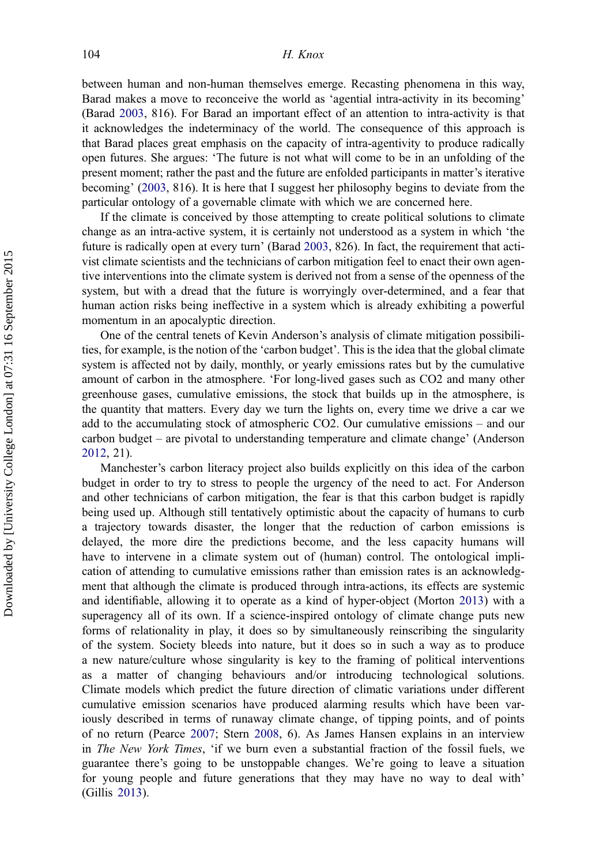between human and non-human themselves emerge. Recasting phenomena in this way, Barad makes a move to reconceive the world as 'agential intra-activity in its becoming' (Barad [2003](#page-18-0), 816). For Barad an important effect of an attention to intra-activity is that it acknowledges the indeterminacy of the world. The consequence of this approach is that Barad places great emphasis on the capacity of intra-agentivity to produce radically open futures. She argues: 'The future is not what will come to be in an unfolding of the present moment; rather the past and the future are enfolded participants in matter's iterative becoming' [\(2003](#page-18-0), 816). It is here that I suggest her philosophy begins to deviate from the particular ontology of a governable climate with which we are concerned here.

If the climate is conceived by those attempting to create political solutions to climate change as an intra-active system, it is certainly not understood as a system in which 'the future is radically open at every turn' (Barad [2003](#page-18-0), 826). In fact, the requirement that activist climate scientists and the technicians of carbon mitigation feel to enact their own agentive interventions into the climate system is derived not from a sense of the openness of the system, but with a dread that the future is worryingly over-determined, and a fear that human action risks being ineffective in a system which is already exhibiting a powerful momentum in an apocalyptic direction.

One of the central tenets of Kevin Anderson's analysis of climate mitigation possibilities, for example, is the notion of the 'carbon budget'. This is the idea that the global climate system is affected not by daily, monthly, or yearly emissions rates but by the cumulative amount of carbon in the atmosphere. 'For long-lived gases such as CO2 and many other greenhouse gases, cumulative emissions, the stock that builds up in the atmosphere, is the quantity that matters. Every day we turn the lights on, every time we drive a car we add to the accumulating stock of atmospheric CO2. Our cumulative emissions – and our carbon budget – are pivotal to understanding temperature and climate change' (Anderson [2012,](#page-18-0) 21).

Manchester's carbon literacy project also builds explicitly on this idea of the carbon budget in order to try to stress to people the urgency of the need to act. For Anderson and other technicians of carbon mitigation, the fear is that this carbon budget is rapidly being used up. Although still tentatively optimistic about the capacity of humans to curb a trajectory towards disaster, the longer that the reduction of carbon emissions is delayed, the more dire the predictions become, and the less capacity humans will have to intervene in a climate system out of (human) control. The ontological implication of attending to cumulative emissions rather than emission rates is an acknowledgment that although the climate is produced through intra-actions, its effects are systemic and identifiable, allowing it to operate as a kind of hyper-object (Morton [2013\)](#page-19-0) with a superagency all of its own. If a science-inspired ontology of climate change puts new forms of relationality in play, it does so by simultaneously reinscribing the singularity of the system. Society bleeds into nature, but it does so in such a way as to produce a new nature/culture whose singularity is key to the framing of political interventions as a matter of changing behaviours and/or introducing technological solutions. Climate models which predict the future direction of climatic variations under different cumulative emission scenarios have produced alarming results which have been variously described in terms of runaway climate change, of tipping points, and of points of no return (Pearce [2007;](#page-19-0) Stern [2008,](#page-19-0) 6). As James Hansen explains in an interview in The New York Times, 'if we burn even a substantial fraction of the fossil fuels, we guarantee there's going to be unstoppable changes. We're going to leave a situation for young people and future generations that they may have no way to deal with' (Gillis [2013\)](#page-18-0).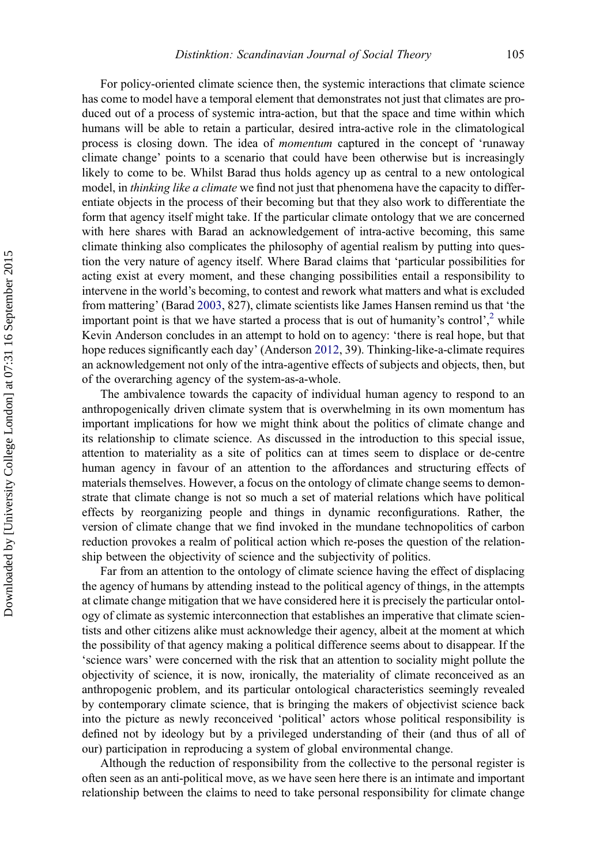For policy-oriented climate science then, the systemic interactions that climate science has come to model have a temporal element that demonstrates not just that climates are produced out of a process of systemic intra-action, but that the space and time within which humans will be able to retain a particular, desired intra-active role in the climatological process is closing down. The idea of momentum captured in the concept of 'runaway climate change' points to a scenario that could have been otherwise but is increasingly likely to come to be. Whilst Barad thus holds agency up as central to a new ontological model, in *thinking like a climate* we find not just that phenomena have the capacity to differentiate objects in the process of their becoming but that they also work to differentiate the form that agency itself might take. If the particular climate ontology that we are concerned with here shares with Barad an acknowledgement of intra-active becoming, this same climate thinking also complicates the philosophy of agential realism by putting into question the very nature of agency itself. Where Barad claims that 'particular possibilities for acting exist at every moment, and these changing possibilities entail a responsibility to intervene in the world's becoming, to contest and rework what matters and what is excluded from mattering' (Barad [2003](#page-18-0), 827), climate scientists like James Hansen remind us that 'the important point is that we have started a process that is out of humanity's control',<sup>[2](#page-17-0)</sup> while Kevin Anderson concludes in an attempt to hold on to agency: 'there is real hope, but that hope reduces significantly each day' (Anderson [2012,](#page-18-0) 39). Thinking-like-a-climate requires an acknowledgement not only of the intra-agentive effects of subjects and objects, then, but of the overarching agency of the system-as-a-whole.

The ambivalence towards the capacity of individual human agency to respond to an anthropogenically driven climate system that is overwhelming in its own momentum has important implications for how we might think about the politics of climate change and its relationship to climate science. As discussed in the introduction to this special issue, attention to materiality as a site of politics can at times seem to displace or de-centre human agency in favour of an attention to the affordances and structuring effects of materials themselves. However, a focus on the ontology of climate change seems to demonstrate that climate change is not so much a set of material relations which have political effects by reorganizing people and things in dynamic reconfigurations. Rather, the version of climate change that we find invoked in the mundane technopolitics of carbon reduction provokes a realm of political action which re-poses the question of the relationship between the objectivity of science and the subjectivity of politics.

Far from an attention to the ontology of climate science having the effect of displacing the agency of humans by attending instead to the political agency of things, in the attempts at climate change mitigation that we have considered here it is precisely the particular ontology of climate as systemic interconnection that establishes an imperative that climate scientists and other citizens alike must acknowledge their agency, albeit at the moment at which the possibility of that agency making a political difference seems about to disappear. If the 'science wars' were concerned with the risk that an attention to sociality might pollute the objectivity of science, it is now, ironically, the materiality of climate reconceived as an anthropogenic problem, and its particular ontological characteristics seemingly revealed by contemporary climate science, that is bringing the makers of objectivist science back into the picture as newly reconceived 'political' actors whose political responsibility is defined not by ideology but by a privileged understanding of their (and thus of all of our) participation in reproducing a system of global environmental change.

Although the reduction of responsibility from the collective to the personal register is often seen as an anti-political move, as we have seen here there is an intimate and important relationship between the claims to need to take personal responsibility for climate change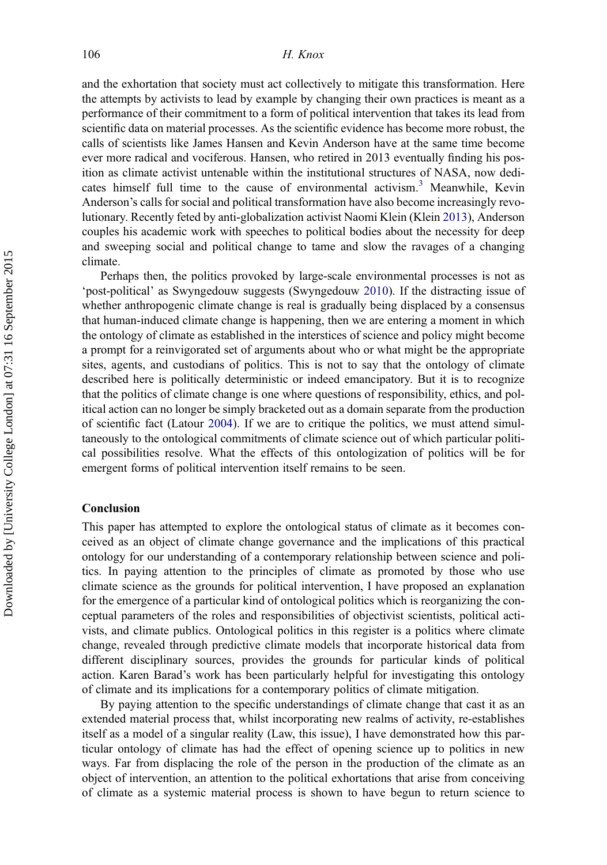and the exhortation that society must act collectively to mitigate this transformation. Here the attempts by activists to lead by example by changing their own practices is meant as a performance of their commitment to a form of political intervention that takes its lead from scientific data on material processes. As the scientific evidence has become more robust, the calls of scientists like James Hansen and Kevin Anderson have at the same time become ever more radical and vociferous. Hansen, who retired in 2013 eventually finding his position as climate activist untenable within the institutional structures of NASA, now dedicates himself full time to the cause of environmental activism.<sup>3</sup> Meanwhile, Kevin Anderson's calls for social and political transformation have also become increasingly revolutionary. Recently feted by anti-globalization activist Naomi Klein (Klein [2013](#page-19-0)), Anderson couples his academic work with speeches to political bodies about the necessity for deep and sweeping social and political change to tame and slow the ravages of a changing climate.

Perhaps then, the politics provoked by large-scale environmental processes is not as 'post-political' as Swyngedouw suggests (Swyngedouw [2010\)](#page-19-0). If the distracting issue of whether anthropogenic climate change is real is gradually being displaced by a consensus that human-induced climate change is happening, then we are entering a moment in which the ontology of climate as established in the interstices of science and policy might become a prompt for a reinvigorated set of arguments about who or what might be the appropriate sites, agents, and custodians of politics. This is not to say that the ontology of climate described here is politically deterministic or indeed emancipatory. But it is to recognize that the politics of climate change is one where questions of responsibility, ethics, and political action can no longer be simply bracketed out as a domain separate from the production of scientific fact (Latour [2004](#page-19-0)). If we are to critique the politics, we must attend simultaneously to the ontological commitments of climate science out of which particular political possibilities resolve. What the effects of this ontologization of politics will be for emergent forms of political intervention itself remains to be seen.

#### Conclusion

This paper has attempted to explore the ontological status of climate as it becomes conceived as an object of climate change governance and the implications of this practical ontology for our understanding of a contemporary relationship between science and politics. In paying attention to the principles of climate as promoted by those who use climate science as the grounds for political intervention, I have proposed an explanation for the emergence of a particular kind of ontological politics which is reorganizing the conceptual parameters of the roles and responsibilities of objectivist scientists, political activists, and climate publics. Ontological politics in this register is a politics where climate change, revealed through predictive climate models that incorporate historical data from different disciplinary sources, provides the grounds for particular kinds of political action. Karen Barad's work has been particularly helpful for investigating this ontology of climate and its implications for a contemporary politics of climate mitigation.

By paying attention to the specific understandings of climate change that cast it as an extended material process that, whilst incorporating new realms of activity, re-establishes itself as a model of a singular reality (Law, this issue), I have demonstrated how this particular ontology of climate has had the effect of opening science up to politics in new ways. Far from displacing the role of the person in the production of the climate as an object of intervention, an attention to the political exhortations that arise from conceiving of climate as a systemic material process is shown to have begun to return science to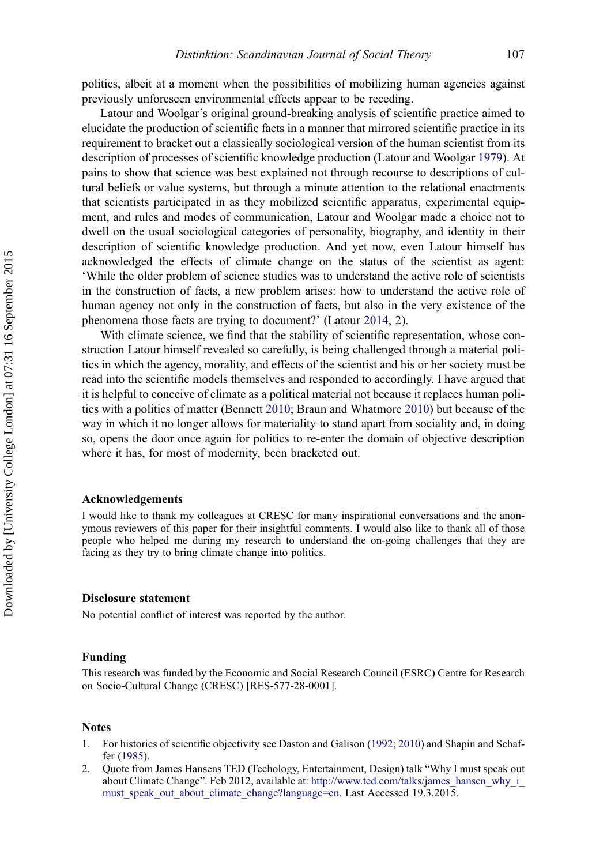<span id="page-17-0"></span>politics, albeit at a moment when the possibilities of mobilizing human agencies against previously unforeseen environmental effects appear to be receding.

Latour and Woolgar's original ground-breaking analysis of scientific practice aimed to elucidate the production of scientific facts in a manner that mirrored scientific practice in its requirement to bracket out a classically sociological version of the human scientist from its description of processes of scientific knowledge production (Latour and Woolgar [1979\)](#page-19-0). At pains to show that science was best explained not through recourse to descriptions of cultural beliefs or value systems, but through a minute attention to the relational enactments that scientists participated in as they mobilized scientific apparatus, experimental equipment, and rules and modes of communication, Latour and Woolgar made a choice not to dwell on the usual sociological categories of personality, biography, and identity in their description of scientific knowledge production. And yet now, even Latour himself has acknowledged the effects of climate change on the status of the scientist as agent: 'While the older problem of science studies was to understand the active role of scientists in the construction of facts, a new problem arises: how to understand the active role of human agency not only in the construction of facts, but also in the very existence of the phenomena those facts are trying to document?' (Latour [2014,](#page-19-0) 2).

With climate science, we find that the stability of scientific representation, whose construction Latour himself revealed so carefully, is being challenged through a material politics in which the agency, morality, and effects of the scientist and his or her society must be read into the scientific models themselves and responded to accordingly. I have argued that it is helpful to conceive of climate as a political material not because it replaces human politics with a politics of matter (Bennett [2010](#page-18-0); Braun and Whatmore [2010](#page-18-0)) but because of the way in which it no longer allows for materiality to stand apart from sociality and, in doing so, opens the door once again for politics to re-enter the domain of objective description where it has, for most of modernity, been bracketed out.

## Acknowledgements

I would like to thank my colleagues at CRESC for many inspirational conversations and the anonymous reviewers of this paper for their insightful comments. I would also like to thank all of those people who helped me during my research to understand the on-going challenges that they are facing as they try to bring climate change into politics.

#### Disclosure statement

No potential conflict of interest was reported by the author.

#### Funding

This research was funded by the Economic and Social Research Council (ESRC) Centre for Research on Socio-Cultural Change (CRESC) [RES-577-28-0001].

#### **Notes**

- 1. For histories of scientific objectivity see Daston and Galison [\(1992](#page-18-0); [2010\)](#page-18-0) and Shapin and Schaffer ([1985\)](#page-19-0).
- 2. Quote from James Hansens TED (Techology, Entertainment, Design) talk "Why I must speak out about Climate Change". Feb 2012, available at: http://www.ted.com/talks/james\_hansen\_why\_i must speak out about climate change?language=en. Last Accessed 19.3.2015.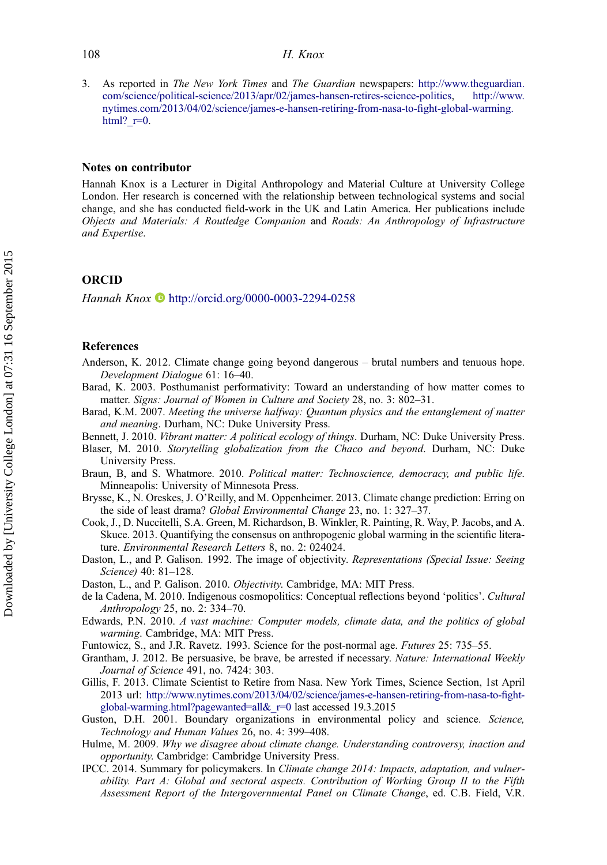#### <span id="page-18-0"></span>108 *H. Knox*

3. As reported in The New York Times and The Guardian newspapers: [http://www.theguardian.](http://www.theguardian.com/science/political-science/2013/apr/02/james-hansen-retires-science-politics) [com/science/political-science/2013/apr/02/james-hansen-retires-science-politics](http://www.theguardian.com/science/political-science/2013/apr/02/james-hansen-retires-science-politics), [http://www.](http://www.nytimes.com/2013/04/02/science/james-e-hansen-retiring-from-nasa-to-fight-global-warming.html?_r=0) [nytimes.com/2013/04/02/science/james-e-hansen-retiring-from-nasa-to-](http://www.nytimes.com/2013/04/02/science/james-e-hansen-retiring-from-nasa-to-fight-global-warming.html?_r=0)fight-global-warming. html? $r=0$ .

#### Notes on contributor

Hannah Knox is a Lecturer in Digital Anthropology and Material Culture at University College London. Her research is concerned with the relationship between technological systems and social change, and she has conducted field-work in the UK and Latin America. Her publications include Objects and Materials: A Routledge Companion and Roads: An Anthropology of Infrastructure and Expertise.

### ORCID

Hannah Knox  $\bullet$  <http://orcid.org/0000-0003-2294-0258>

#### References

Anderson, K. 2012. Climate change going beyond dangerous – brutal numbers and tenuous hope. Development Dialogue 61: 16–40.

- Barad, K. 2003. Posthumanist performativity: Toward an understanding of how matter comes to matter. Signs: Journal of Women in Culture and Society 28, no. 3: 802–31.
- Barad, K.M. 2007. Meeting the universe halfway: Quantum physics and the entanglement of matter and meaning. Durham, NC: Duke University Press.

Bennett, J. 2010. Vibrant matter: A political ecology of things. Durham, NC: Duke University Press.

- Blaser, M. 2010. Storytelling globalization from the Chaco and beyond. Durham, NC: Duke University Press.
- Braun, B, and S. Whatmore. 2010. Political matter: Technoscience, democracy, and public life. Minneapolis: University of Minnesota Press.
- Brysse, K., N. Oreskes, J. O'Reilly, and M. Oppenheimer. 2013. Climate change prediction: Erring on the side of least drama? Global Environmental Change 23, no. 1: 327–37.
- Cook, J., D. Nuccitelli, S.A. Green, M. Richardson, B. Winkler, R. Painting, R. Way, P. Jacobs, and A. Skuce. 2013. Quantifying the consensus on anthropogenic global warming in the scientific literature. Environmental Research Letters 8, no. 2: 024024.
- Daston, L., and P. Galison. 1992. The image of objectivity. Representations (Special Issue: Seeing Science) 40: 81–128.
- Daston, L., and P. Galison. 2010. Objectivity. Cambridge, MA: MIT Press.
- de la Cadena, M. 2010. Indigenous cosmopolitics: Conceptual reflections beyond 'politics'. Cultural Anthropology 25, no. 2: 334–70.
- Edwards, P.N. 2010. A vast machine: Computer models, climate data, and the politics of global warming. Cambridge, MA: MIT Press.
- Funtowicz, S., and J.R. Ravetz. 1993. Science for the post-normal age. Futures 25: 735–55.
- Grantham, J. 2012. Be persuasive, be brave, be arrested if necessary. Nature: International Weekly Journal of Science 491, no. 7424: 303.
- Gillis, F. 2013. Climate Scientist to Retire from Nasa. New York Times, Science Section, 1st April 2013 url: [http://www.nytimes.com/2013/04/02/science/james-e-hansen-retiring-from-nasa-to-](http://www.nytimes.com/2013/04/02/science/james-e-hansen-retiring-from-nasa-to-fight-global-warming.html?pagewanted=all&_r=0)fight[global-warming.html?pagewanted=all&\\_r=0](http://www.nytimes.com/2013/04/02/science/james-e-hansen-retiring-from-nasa-to-fight-global-warming.html?pagewanted=all&_r=0) last accessed 19.3.2015
- Guston, D.H. 2001. Boundary organizations in environmental policy and science. Science, Technology and Human Values 26, no. 4: 399–408.
- Hulme, M. 2009. Why we disagree about climate change. Understanding controversy, inaction and opportunity. Cambridge: Cambridge University Press.
- IPCC. 2014. Summary for policymakers. In Climate change 2014: Impacts, adaptation, and vulnerability. Part A: Global and sectoral aspects. Contribution of Working Group II to the Fifth Assessment Report of the Intergovernmental Panel on Climate Change, ed. C.B. Field, V.R.